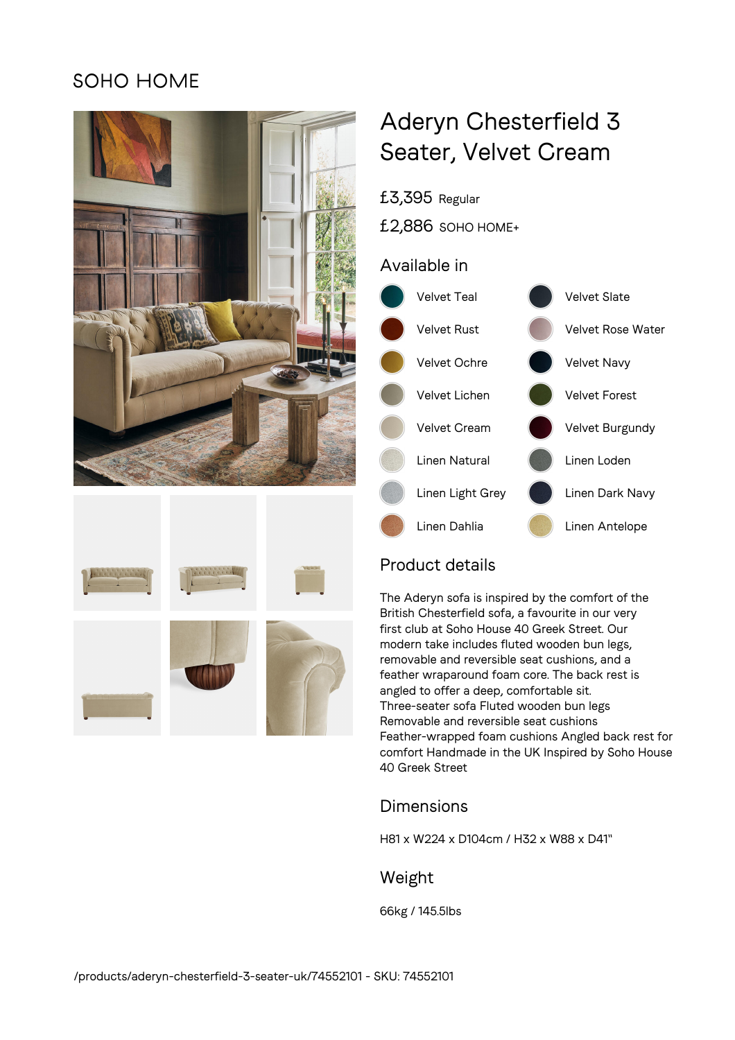## **SOHO HOME**





# Aderyn Chesterfield 3 Seater, Velvet Cream

£3,395 Regular

£2,886 SOHO HOME+

## Available in



## Product details

The Aderyn sofa is inspired by the comfort of the British Chesterfield sofa, a favourite in our very first club at Soho House 40 Greek Street. Our modern take includes fluted wooden bun legs, removable and reversible seat cushions, and a feather wraparound foam core. The back rest is angled to offer a deep, comfortable sit. Three-seater sofa Fluted wooden bun legs Removable and reversible seat cushions Feather-wrapped foam cushions Angled back rest for comfort Handmade in the UK Inspired by Soho House 40 Greek Street

## Dimensions

H81 x W224 x D104cm / H32 x W88 x D41"

### Weight

66kg / 145.5lbs